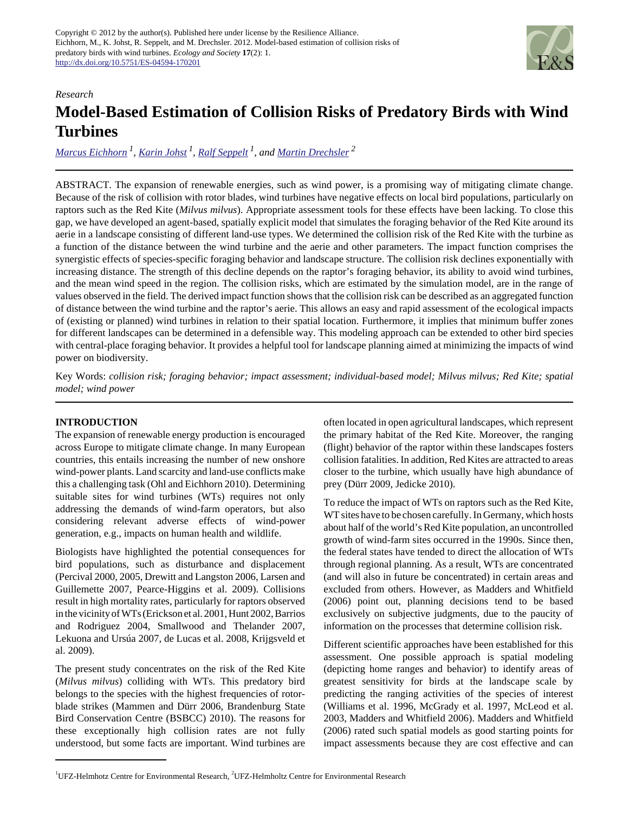

## *Research*

# **Model-Based Estimation of Collision Risks of Predatory Birds with Wind Turbines**

*[Marcus Eichhorn](mailto:marcus.eichhorn@ufz.de)<sup>1</sup> , [Karin Johst](mailto:karin.johst@ufz.de)<sup>1</sup> , [Ralf Seppelt](mailto:ralf.seppelt@ufz.de) 1, and [Martin Drechsler](mailto:martin.drechsler@ufz.de)<sup>2</sup>*

ABSTRACT. The expansion of renewable energies, such as wind power, is a promising way of mitigating climate change. Because of the risk of collision with rotor blades, wind turbines have negative effects on local bird populations, particularly on raptors such as the Red Kite (*Milvus milvus*). Appropriate assessment tools for these effects have been lacking. To close this gap, we have developed an agent-based, spatially explicit model that simulates the foraging behavior of the Red Kite around its aerie in a landscape consisting of different land-use types. We determined the collision risk of the Red Kite with the turbine as a function of the distance between the wind turbine and the aerie and other parameters. The impact function comprises the synergistic effects of species-specific foraging behavior and landscape structure. The collision risk declines exponentially with increasing distance. The strength of this decline depends on the raptor's foraging behavior, its ability to avoid wind turbines, and the mean wind speed in the region. The collision risks, which are estimated by the simulation model, are in the range of values observed in the field. The derived impact function shows that the collision risk can be described as an aggregated function of distance between the wind turbine and the raptor's aerie. This allows an easy and rapid assessment of the ecological impacts of (existing or planned) wind turbines in relation to their spatial location. Furthermore, it implies that minimum buffer zones for different landscapes can be determined in a defensible way. This modeling approach can be extended to other bird species with central-place foraging behavior. It provides a helpful tool for landscape planning aimed at minimizing the impacts of wind power on biodiversity.

Key Words: *collision risk; foraging behavior; impact assessment; individual-based model; Milvus milvus; Red Kite; spatial model; wind power*

# **INTRODUCTION**

The expansion of renewable energy production is encouraged across Europe to mitigate climate change. In many European countries, this entails increasing the number of new onshore wind-power plants. Land scarcity and land-use conflicts make this a challenging task (Ohl and Eichhorn 2010). Determining suitable sites for wind turbines (WTs) requires not only addressing the demands of wind-farm operators, but also considering relevant adverse effects of wind-power generation, e.g., impacts on human health and wildlife.

Biologists have highlighted the potential consequences for bird populations, such as disturbance and displacement (Percival 2000, 2005, Drewitt and Langston 2006, Larsen and Guillemette 2007, Pearce-Higgins et al. 2009). Collisions result in high mortality rates, particularly for raptors observed in the vicinity of WTs (Erickson et al. 2001, Hunt 2002, Barrios and Rodriguez 2004, Smallwood and Thelander 2007, Lekuona and Ursúa 2007, de Lucas et al. 2008, Krijgsveld et al. 2009).

The present study concentrates on the risk of the Red Kite (*Milvus milvus*) colliding with WTs. This predatory bird belongs to the species with the highest frequencies of rotorblade strikes (Mammen and Dürr 2006, Brandenburg State Bird Conservation Centre (BSBCC) 2010). The reasons for these exceptionally high collision rates are not fully understood, but some facts are important. Wind turbines are often located in open agricultural landscapes, which represent the primary habitat of the Red Kite. Moreover, the ranging (flight) behavior of the raptor within these landscapes fosters collision fatalities. In addition, Red Kites are attracted to areas closer to the turbine, which usually have high abundance of prey (Dürr 2009, Jedicke 2010).

To reduce the impact of WTs on raptors such as the Red Kite, WT sites have to be chosen carefully. In Germany, which hosts about half of the world's Red Kite population, an uncontrolled growth of wind-farm sites occurred in the 1990s. Since then, the federal states have tended to direct the allocation of WTs through regional planning. As a result, WTs are concentrated (and will also in future be concentrated) in certain areas and excluded from others. However, as Madders and Whitfield (2006) point out, planning decisions tend to be based exclusively on subjective judgments, due to the paucity of information on the processes that determine collision risk.

Different scientific approaches have been established for this assessment. One possible approach is spatial modeling (depicting home ranges and behavior) to identify areas of greatest sensitivity for birds at the landscape scale by predicting the ranging activities of the species of interest (Williams et al. 1996, McGrady et al. 1997, McLeod et al. 2003, Madders and Whitfield 2006). Madders and Whitfield (2006) rated such spatial models as good starting points for impact assessments because they are cost effective and can

 $10FZ-Helmhotz$  Centre for Environmental Research,  $2UFZ-Helmholtz$  Centre for Environmental Research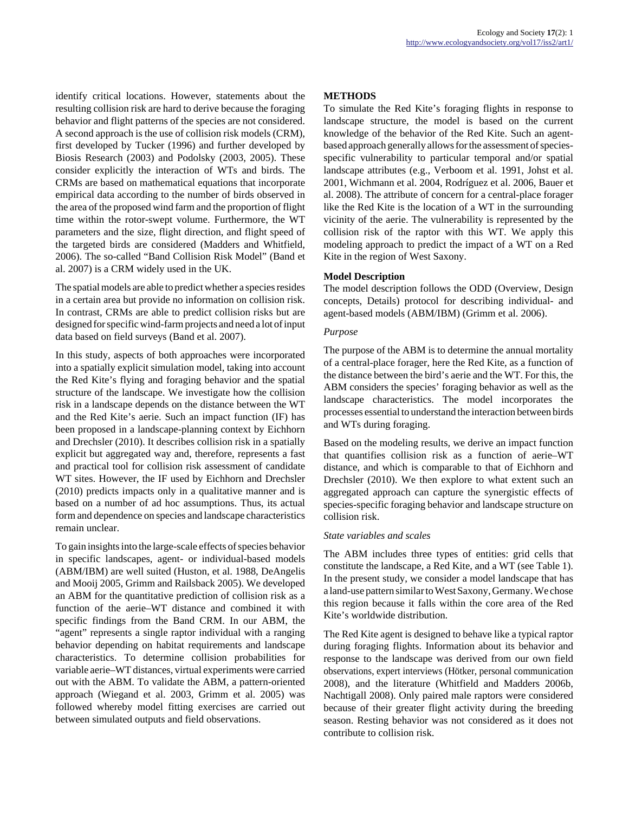identify critical locations. However, statements about the resulting collision risk are hard to derive because the foraging behavior and flight patterns of the species are not considered. A second approach is the use of collision risk models (CRM), first developed by Tucker (1996) and further developed by Biosis Research (2003) and Podolsky (2003, 2005). These consider explicitly the interaction of WTs and birds. The CRMs are based on mathematical equations that incorporate empirical data according to the number of birds observed in the area of the proposed wind farm and the proportion of flight time within the rotor-swept volume. Furthermore, the WT parameters and the size, flight direction, and flight speed of the targeted birds are considered (Madders and Whitfield, 2006). The so-called "Band Collision Risk Model" (Band et al. 2007) is a CRM widely used in the UK.

The spatial models are able to predict whether a species resides in a certain area but provide no information on collision risk. In contrast, CRMs are able to predict collision risks but are designed for specific wind-farm projects and need a lot of input data based on field surveys (Band et al. 2007).

In this study, aspects of both approaches were incorporated into a spatially explicit simulation model, taking into account the Red Kite's flying and foraging behavior and the spatial structure of the landscape. We investigate how the collision risk in a landscape depends on the distance between the WT and the Red Kite's aerie. Such an impact function (IF) has been proposed in a landscape-planning context by Eichhorn and Drechsler (2010). It describes collision risk in a spatially explicit but aggregated way and, therefore, represents a fast and practical tool for collision risk assessment of candidate WT sites. However, the IF used by Eichhorn and Drechsler (2010) predicts impacts only in a qualitative manner and is based on a number of ad hoc assumptions. Thus, its actual form and dependence on species and landscape characteristics remain unclear.

To gain insights into the large-scale effects of species behavior in specific landscapes, agent- or individual-based models (ABM/IBM) are well suited (Huston, et al. 1988, DeAngelis and Mooij 2005, Grimm and Railsback 2005). We developed an ABM for the quantitative prediction of collision risk as a function of the aerie–WT distance and combined it with specific findings from the Band CRM. In our ABM, the "agent" represents a single raptor individual with a ranging behavior depending on habitat requirements and landscape characteristics. To determine collision probabilities for variable aerie–WT distances, virtual experiments were carried out with the ABM. To validate the ABM, a pattern-oriented approach (Wiegand et al. 2003, Grimm et al. 2005) was followed whereby model fitting exercises are carried out between simulated outputs and field observations.

## **METHODS**

To simulate the Red Kite's foraging flights in response to landscape structure, the model is based on the current knowledge of the behavior of the Red Kite. Such an agentbased approach generally allows for the assessment of speciesspecific vulnerability to particular temporal and/or spatial landscape attributes (e.g., Verboom et al. 1991, Johst et al. 2001, Wichmann et al. 2004, Rodríguez et al. 2006, Bauer et al. 2008). The attribute of concern for a central-place forager like the Red Kite is the location of a WT in the surrounding vicinity of the aerie. The vulnerability is represented by the collision risk of the raptor with this WT. We apply this modeling approach to predict the impact of a WT on a Red Kite in the region of West Saxony.

### **Model Description**

The model description follows the ODD (Overview, Design concepts, Details) protocol for describing individual- and agent-based models (ABM/IBM) (Grimm et al. 2006).

### *Purpose*

The purpose of the ABM is to determine the annual mortality of a central-place forager, here the Red Kite, as a function of the distance between the bird's aerie and the WT. For this, the ABM considers the species' foraging behavior as well as the landscape characteristics. The model incorporates the processes essential to understand the interaction between birds and WTs during foraging.

Based on the modeling results, we derive an impact function that quantifies collision risk as a function of aerie–WT distance, and which is comparable to that of Eichhorn and Drechsler (2010). We then explore to what extent such an aggregated approach can capture the synergistic effects of species-specific foraging behavior and landscape structure on collision risk.

### *State variables and scales*

The ABM includes three types of entities: grid cells that constitute the landscape, a Red Kite, and a WT (see Table 1). In the present study, we consider a model landscape that has a land-use pattern similar to West Saxony, Germany. We chose this region because it falls within the core area of the Red Kite's worldwide distribution.

The Red Kite agent is designed to behave like a typical raptor during foraging flights. Information about its behavior and response to the landscape was derived from our own field observations, expert interviews (Hötker, personal communication 2008), and the literature (Whitfield and Madders 2006b, Nachtigall 2008). Only paired male raptors were considered because of their greater flight activity during the breeding season. Resting behavior was not considered as it does not contribute to collision risk.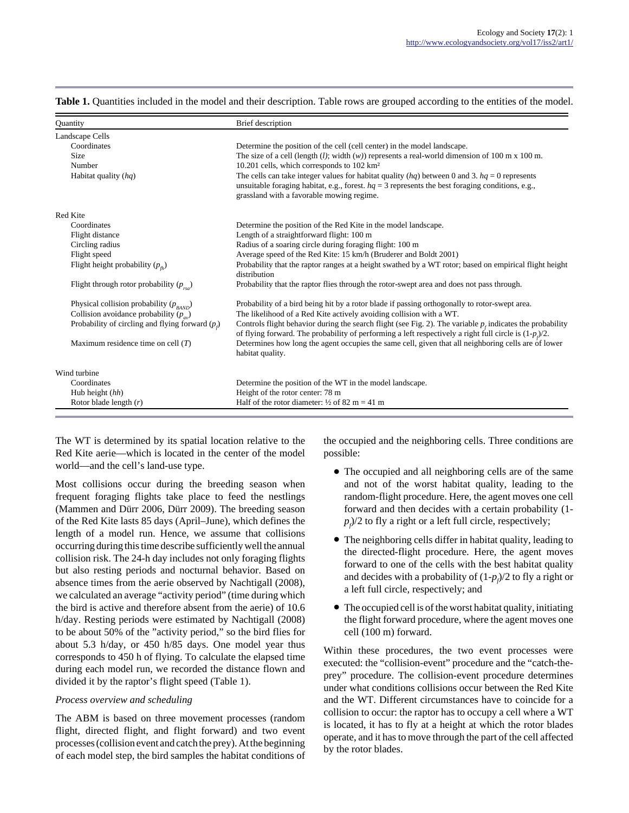Table 1. Quantities included in the model and their description. Table rows are grouped according to the entities of the model.

| Quantity                                            | Brief description                                                                                                                                                                                                                                    |
|-----------------------------------------------------|------------------------------------------------------------------------------------------------------------------------------------------------------------------------------------------------------------------------------------------------------|
| Landscape Cells                                     |                                                                                                                                                                                                                                                      |
| Coordinates                                         | Determine the position of the cell (cell center) in the model landscape.                                                                                                                                                                             |
| <b>Size</b>                                         | The size of a cell (length $(l)$ ; width $(w)$ ) represents a real-world dimension of 100 m x 100 m.                                                                                                                                                 |
| Number                                              | 10.201 cells, which corresponds to 102 km <sup>2</sup>                                                                                                                                                                                               |
| Habitat quality $(hq)$                              | The cells can take integer values for habitat quality $(hq)$ between 0 and 3. $hq = 0$ represents<br>unsuitable foraging habitat, e.g., forest. $hq = 3$ represents the best foraging conditions, e.g.,<br>grassland with a favorable mowing regime. |
| Red Kite                                            |                                                                                                                                                                                                                                                      |
| Coordinates                                         | Determine the position of the Red Kite in the model landscape.                                                                                                                                                                                       |
| Flight distance                                     | Length of a straightforward flight: 100 m                                                                                                                                                                                                            |
| Circling radius                                     | Radius of a soaring circle during foraging flight: 100 m                                                                                                                                                                                             |
| Flight speed                                        | Average speed of the Red Kite: 15 km/h (Bruderer and Boldt 2001)                                                                                                                                                                                     |
| Flight height probability $(p_n)$                   | Probability that the raptor ranges at a height swathed by a WT rotor; based on empirical flight height<br>distribution                                                                                                                               |
| Flight through rotor probability $(p_{\text{res}})$ | Probability that the raptor flies through the rotor-swept area and does not pass through.                                                                                                                                                            |
| Physical collision probability $(p_{BAND})$         | Probability of a bird being hit by a rotor blade if passing orthogonally to rotor-swept area.                                                                                                                                                        |
| Collision avoidance probability $(p_{\infty})$      | The likelihood of a Red Kite actively avoiding collision with a WT.                                                                                                                                                                                  |
| Probability of circling and flying forward $(pr)$   | Controls flight behavior during the search flight (see Fig. 2). The variable $pf$ indicates the probability<br>of flying forward. The probability of performing a left respectively a right full circle is $(1-pr)/2$ .                              |
| Maximum residence time on cell $(T)$                | Determines how long the agent occupies the same cell, given that all neighboring cells are of lower<br>habitat quality.                                                                                                                              |
| Wind turbine                                        |                                                                                                                                                                                                                                                      |
| Coordinates                                         | Determine the position of the WT in the model landscape.                                                                                                                                                                                             |
| Hub height $(hh)$                                   | Height of the rotor center: 78 m                                                                                                                                                                                                                     |
| Rotor blade length $(r)$                            | Half of the rotor diameter: $\frac{1}{2}$ of 82 m = 41 m                                                                                                                                                                                             |

The WT is determined by its spatial location relative to the Red Kite aerie—which is located in the center of the model world—and the cell's land-use type.

Most collisions occur during the breeding season when frequent foraging flights take place to feed the nestlings (Mammen and Dürr 2006, Dürr 2009). The breeding season of the Red Kite lasts 85 days (April–June), which defines the length of a model run. Hence, we assume that collisions occurring during this time describe sufficiently well the annual collision risk. The 24-h day includes not only foraging flights but also resting periods and nocturnal behavior. Based on absence times from the aerie observed by Nachtigall (2008), we calculated an average "activity period" (time during which the bird is active and therefore absent from the aerie) of 10.6 h/day. Resting periods were estimated by Nachtigall (2008) to be about 50% of the "activity period," so the bird flies for about 5.3 h/day, or 450 h/85 days. One model year thus corresponds to 450 h of flying. To calculate the elapsed time during each model run, we recorded the distance flown and divided it by the raptor's flight speed (Table 1).

### *Process overview and scheduling*

The ABM is based on three movement processes (random flight, directed flight, and flight forward) and two event processes (collision event and catch the prey). At the beginning of each model step, the bird samples the habitat conditions of the occupied and the neighboring cells. Three conditions are possible:

- The occupied and all neighboring cells are of the same and not of the worst habitat quality, leading to the random-flight procedure. Here, the agent moves one cell forward and then decides with a certain probability (1  $p_f$ )/2 to fly a right or a left full circle, respectively;
- The neighboring cells differ in habitat quality, leading to the directed-flight procedure. Here, the agent moves forward to one of the cells with the best habitat quality and decides with a probability of  $(1-p_f)/2$  to fly a right or a left full circle, respectively; and
- The occupied cell is of the worst habitat quality, initiating the flight forward procedure, where the agent moves one cell (100 m) forward.

Within these procedures, the two event processes were executed: the "collision-event" procedure and the "catch-theprey" procedure. The collision-event procedure determines under what conditions collisions occur between the Red Kite and the WT. Different circumstances have to coincide for a collision to occur: the raptor has to occupy a cell where a WT is located, it has to fly at a height at which the rotor blades operate, and it has to move through the part of the cell affected by the rotor blades.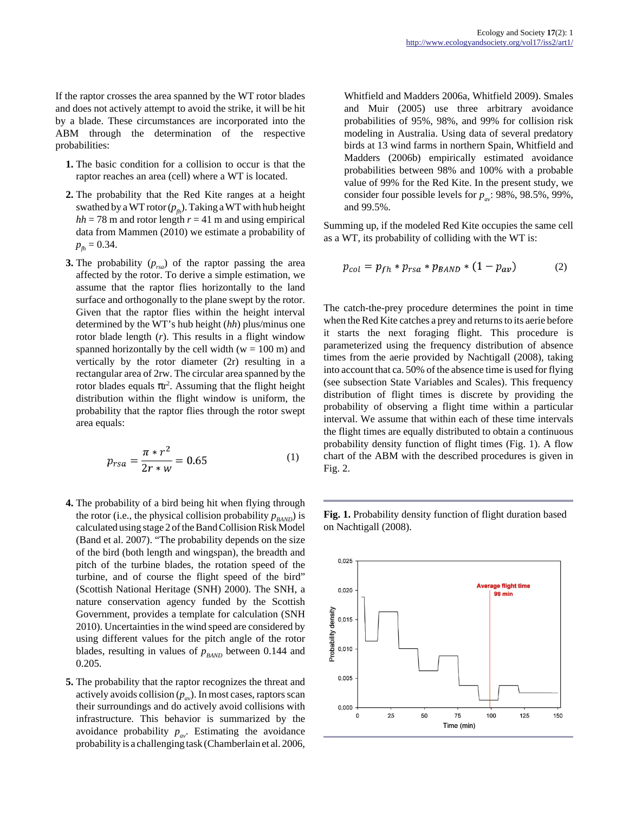If the raptor crosses the area spanned by the WT rotor blades and does not actively attempt to avoid the strike, it will be hit by a blade. These circumstances are incorporated into the ABM through the determination of the respective probabilities:

- **1.** The basic condition for a collision to occur is that the raptor reaches an area (cell) where a WT is located.
- **2.** The probability that the Red Kite ranges at a height swathed by a WT rotor  $(p_n)$ . Taking a WT with hub height  $hh = 78$  m and rotor length  $r = 41$  m and using empirical data from Mammen (2010) we estimate a probability of  $p_{th} = 0.34$ .
- **3.** The probability (*prsa* ) of the raptor passing the area affected by the rotor. To derive a simple estimation, we assume that the raptor flies horizontally to the land surface and orthogonally to the plane swept by the rotor. Given that the raptor flies within the height interval determined by the WT's hub height (*hh*) plus/minus one rotor blade length (*r*). This results in a flight window spanned horizontally by the cell width ( $w = 100$  m) and vertically by the rotor diameter (2r) resulting in a rectangular area of 2rw. The circular area spanned by the rotor blades equals  $\pi r^2$ . Assuming that the flight height distribution within the flight window is uniform, the probability that the raptor flies through the rotor swept area equals:

$$
p_{rsa} = \frac{\pi * r^2}{2r * w} = 0.65\tag{1}
$$

- **4.** The probability of a bird being hit when flying through the rotor (i.e., the physical collision probability  $p_{BAND}$ ) is calculated using stage 2 of the Band Collision Risk Model (Band et al. 2007). "The probability depends on the size of the bird (both length and wingspan), the breadth and pitch of the turbine blades, the rotation speed of the turbine, and of course the flight speed of the bird" (Scottish National Heritage (SNH) 2000). The SNH, a nature conservation agency funded by the Scottish Government, provides a template for calculation (SNH 2010). Uncertainties in the wind speed are considered by using different values for the pitch angle of the rotor blades, resulting in values of  $p_{\text{FAMD}}$  between 0.144 and 0.205.
- **5.** The probability that the raptor recognizes the threat and actively avoids collision (*pav* ). In most cases, raptors scan their surroundings and do actively avoid collisions with infrastructure. This behavior is summarized by the avoidance probability  $p_{av}$ . Estimating the avoidance probability is a challenging task (Chamberlain et al. 2006,

Whitfield and Madders 2006a, Whitfield 2009). Smales and Muir (2005) use three arbitrary avoidance probabilities of 95%, 98%, and 99% for collision risk modeling in Australia. Using data of several predatory birds at 13 wind farms in northern Spain, Whitfield and Madders (2006b) empirically estimated avoidance probabilities between 98% and 100% with a probable value of 99% for the Red Kite. In the present study, we consider four possible levels for *pav* : 98%, 98.5%, 99%, and 99.5%.

Summing up, if the modeled Red Kite occupies the same cell as a WT, its probability of colliding with the WT is:

$$
p_{col} = p_{fh} * p_{rsa} * p_{BAND} * (1 - p_{av}) \tag{2}
$$

The catch-the-prey procedure determines the point in time when the Red Kite catches a prey and returns to its aerie before it starts the next foraging flight. This procedure is parameterized using the frequency distribution of absence times from the aerie provided by Nachtigall (2008), taking into account that ca. 50% of the absence time is used for flying (see subsection State Variables and Scales). This frequency distribution of flight times is discrete by providing the probability of observing a flight time within a particular interval. We assume that within each of these time intervals the flight times are equally distributed to obtain a continuous probability density function of flight times (Fig. 1). A flow chart of the ABM with the described procedures is given in Fig. 2.

**Fig. 1.** Probability density function of flight duration based on Nachtigall (2008).

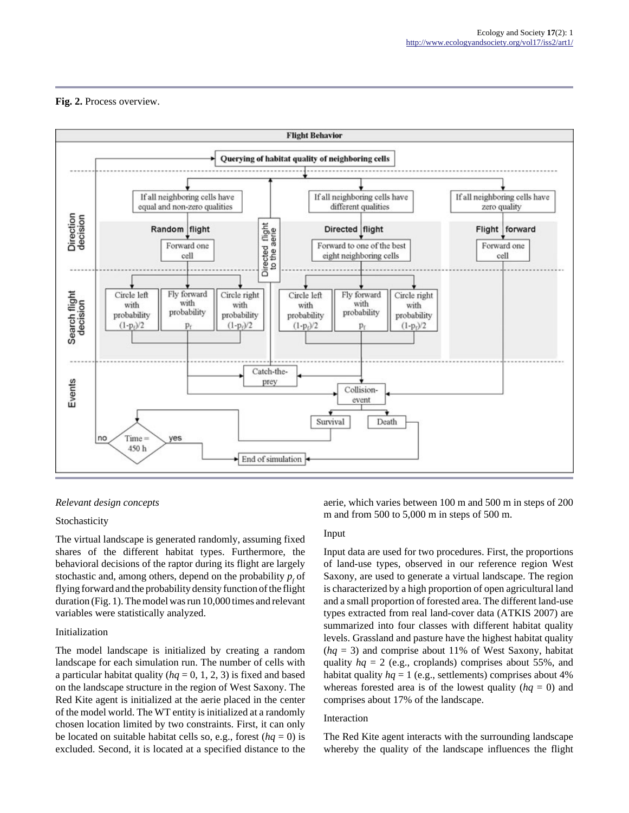## **Fig. 2.** Process overview.



### *Relevant design concepts*

### Stochasticity

The virtual landscape is generated randomly, assuming fixed shares of the different habitat types. Furthermore, the behavioral decisions of the raptor during its flight are largely stochastic and, among others, depend on the probability  $p_f$  of flying forward and the probability density function of the flight duration (Fig. 1). The model was run 10,000 times and relevant variables were statistically analyzed.

# Initialization

The model landscape is initialized by creating a random landscape for each simulation run. The number of cells with a particular habitat quality ( $hq = 0, 1, 2, 3$ ) is fixed and based on the landscape structure in the region of West Saxony. The Red Kite agent is initialized at the aerie placed in the center of the model world. The WT entity is initialized at a randomly chosen location limited by two constraints. First, it can only be located on suitable habitat cells so, e.g., forest  $(hq = 0)$  is excluded. Second, it is located at a specified distance to the aerie, which varies between 100 m and 500 m in steps of 200 m and from 500 to 5,000 m in steps of 500 m.

### Input

Input data are used for two procedures. First, the proportions of land-use types, observed in our reference region West Saxony, are used to generate a virtual landscape. The region is characterized by a high proportion of open agricultural land and a small proportion of forested area. The different land-use types extracted from real land-cover data (ATKIS 2007) are summarized into four classes with different habitat quality levels. Grassland and pasture have the highest habitat quality  $(hq = 3)$  and comprise about 11% of West Saxony, habitat quality *hq* = 2 (e.g., croplands) comprises about 55%, and habitat quality  $hq = 1$  (e.g., settlements) comprises about 4% whereas forested area is of the lowest quality  $(hq = 0)$  and comprises about 17% of the landscape.

### Interaction

The Red Kite agent interacts with the surrounding landscape whereby the quality of the landscape influences the flight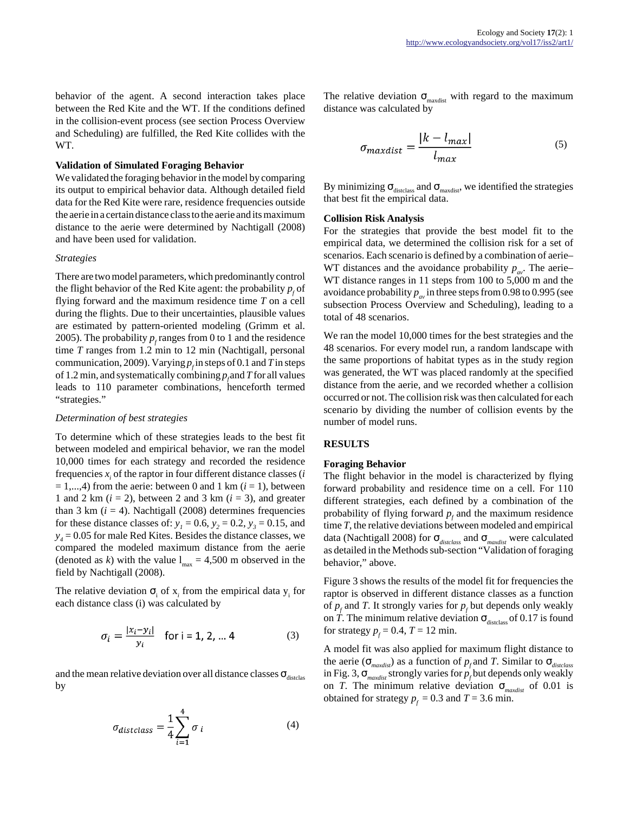behavior of the agent. A second interaction takes place between the Red Kite and the WT. If the conditions defined in the collision-event process (see section Process Overview and Scheduling) are fulfilled, the Red Kite collides with the WT.

#### **Validation of Simulated Foraging Behavior**

We validated the foraging behavior in the model by comparing its output to empirical behavior data. Although detailed field data for the Red Kite were rare, residence frequencies outside the aerie in a certain distance class to the aerie and its maximum distance to the aerie were determined by Nachtigall (2008) and have been used for validation.

#### *Strategies*

There are two model parameters, which predominantly control the flight behavior of the Red Kite agent: the probability  $p_f$  of flying forward and the maximum residence time *T* on a cell during the flights. Due to their uncertainties, plausible values are estimated by pattern-oriented modeling (Grimm et al. 2005). The probability  $p_f$  ranges from 0 to 1 and the residence time *T* ranges from 1.2 min to 12 min (Nachtigall, personal communication, 2009). Varying  $p_f$  in steps of 0.1 and *T* in steps of 1.2 min, and systematically combining  $p_f$  and  $T$  for all values leads to 110 parameter combinations, henceforth termed "strategies."

### *Determination of best strategies*

To determine which of these strategies leads to the best fit between modeled and empirical behavior, we ran the model 10,000 times for each strategy and recorded the residence frequencies  $x_i$  of the raptor in four different distance classes (*i*  $= 1,...,4$ ) from the aerie: between 0 and 1 km ( $i = 1$ ), between 1 and 2 km  $(i = 2)$ , between 2 and 3 km  $(i = 3)$ , and greater than 3 km  $(i = 4)$ . Nachtigall (2008) determines frequencies for these distance classes of:  $y_1 = 0.6$ ,  $y_2 = 0.2$ ,  $y_3 = 0.15$ , and *y4* = 0.05 for male Red Kites. Besides the distance classes, we compared the modeled maximum distance from the aerie (denoted as *k*) with the value  $l_{\text{max}} = 4,500 \text{ m}$  observed in the field by Nachtigall (2008).

The relative deviation  $\sigma_i$  of  $x_i$  from the empirical data  $y_i$  for each distance class (i) was calculated by

$$
\sigma_i = \frac{|x_i - y_i|}{y_i} \quad \text{for } i = 1, 2, \dots 4 \tag{3}
$$

and the mean relative deviation over all distance classes  $\sigma_{\text{data}}$ by

$$
\sigma_{distclass} = \frac{1}{4} \sum_{i=1}^{4} \sigma_i
$$
\n(4)

The relative deviation  $\sigma_{\text{maxdist}}$  with regard to the maximum distance was calculated by

$$
\sigma_{maxdist} = \frac{|k - l_{max}|}{l_{max}} \tag{5}
$$

By minimizing  $\sigma_{\text{distclass}}$  and  $\sigma_{\text{maxdist}}$ , we identified the strategies that best fit the empirical data.

### **Collision Risk Analysis**

For the strategies that provide the best model fit to the empirical data, we determined the collision risk for a set of scenarios. Each scenario is defined by a combination of aerie– WT distances and the avoidance probability  $p_{av}$ . The aerie– WT distance ranges in 11 steps from 100 to 5,000 m and the avoidance probability  $p_{av}$  in three steps from 0.98 to 0.995 (see subsection Process Overview and Scheduling), leading to a total of 48 scenarios.

We ran the model 10,000 times for the best strategies and the 48 scenarios. For every model run, a random landscape with the same proportions of habitat types as in the study region was generated, the WT was placed randomly at the specified distance from the aerie, and we recorded whether a collision occurred or not. The collision risk was then calculated for each scenario by dividing the number of collision events by the number of model runs.

### **RESULTS**

#### **Foraging Behavior**

The flight behavior in the model is characterized by flying forward probability and residence time on a cell. For 110 different strategies, each defined by a combination of the probability of flying forward  $p_f$  and the maximum residence time *T*, the relative deviations between modeled and empirical data (Nachtigall 2008) for σ*distclass* and σ*maxdist* were calculated as detailed in the Methods sub-section "Validation of foraging behavior," above.

Figure 3 shows the results of the model fit for frequencies the raptor is observed in different distance classes as a function of  $p_f$  and *T*. It strongly varies for  $p_f$  but depends only weakly on  $\overline{T}$ . The minimum relative deviation  $\sigma_{\text{distclass}}$  of 0.17 is found for strategy  $p_f = 0.4$ ,  $T = 12$  min.

A model fit was also applied for maximum flight distance to the aerie ( $\sigma_{maxdist}$ ) as a function of  $p_f$  and *T*. Similar to  $\sigma_{distclass}$ in Fig. 3, σ*maxdist* strongly varies for *p<sup>f</sup>* but depends only weakly on *T*. The minimum relative deviation  $\sigma_{\textit{maxdist}}$  of 0.01 is obtained for strategy  $p_f = 0.3$  and  $T = 3.6$  min.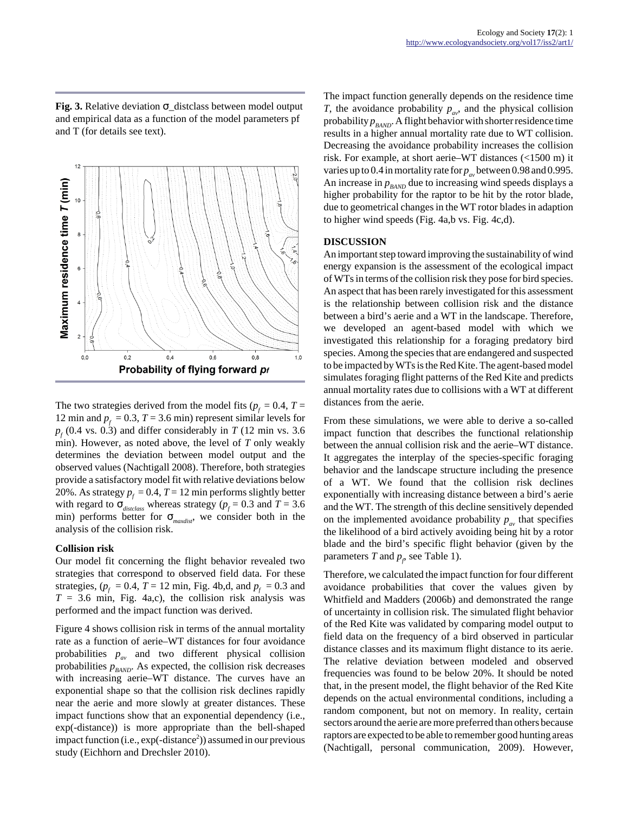**Fig. 3.** Relative deviation σ\_distclass between model output and empirical data as a function of the model parameters pf and T (for details see text).



The two strategies derived from the model fits ( $p_f$  = 0.4, *T* = 12 min and  $p_f = 0.3$ ,  $T = 3.6$  min) represent similar levels for  $p_f$  (0.4 vs. 0.3) and differ considerably in *T* (12 min vs. 3.6) min). However, as noted above, the level of *T* only weakly determines the deviation between model output and the observed values (Nachtigall 2008). Therefore, both strategies provide a satisfactory model fit with relative deviations below 20%. As strategy  $p_f = 0.4$ ,  $T = 12$  min performs slightly better with regard to  $\sigma_{\text{distclass}}$  whereas strategy ( $p_f$  = 0.3 and *T* = 3.6 min) performs better for σ*maxdist*, we consider both in the analysis of the collision risk.

### **Collision risk**

Our model fit concerning the flight behavior revealed two strategies that correspond to observed field data. For these strategies,  $(p_f = 0.4, T = 12 \text{ min}, \text{Fig. 4b,d}, \text{and } p_f = 0.3 \text{ and}$  $T = 3.6$  min, Fig. 4a,c), the collision risk analysis was performed and the impact function was derived.

Figure 4 shows collision risk in terms of the annual mortality rate as a function of aerie–WT distances for four avoidance probabilities *pav* and two different physical collision probabilities  $p_{BAND}$ . As expected, the collision risk decreases with increasing aerie–WT distance. The curves have an exponential shape so that the collision risk declines rapidly near the aerie and more slowly at greater distances. These impact functions show that an exponential dependency (i.e., exp(-distance)) is more appropriate than the bell-shaped impact function (i.e., exp(-distance<sup>2</sup>)) assumed in our previous study (Eichhorn and Drechsler 2010).

The impact function generally depends on the residence time *T*, the avoidance probability  $p_{av}$ , and the physical collision probability  $p_{BAND}$ . A flight behavior with shorter residence time results in a higher annual mortality rate due to WT collision. Decreasing the avoidance probability increases the collision risk. For example, at short aerie–WT distances (<1500 m) it varies up to 0.4 in mortality rate for  $p_{\scriptscriptstyle av}$  between 0.98 and 0.995. An increase in  $p_{\text{BAND}}$  due to increasing wind speeds displays a higher probability for the raptor to be hit by the rotor blade, due to geometrical changes in the WT rotor blades in adaption to higher wind speeds (Fig. 4a,b vs. Fig. 4c,d).

### **DISCUSSION**

An important step toward improving the sustainability of wind energy expansion is the assessment of the ecological impact of WTs in terms of the collision risk they pose for bird species. An aspect that has been rarely investigated for this assessment is the relationship between collision risk and the distance between a bird's aerie and a WT in the landscape. Therefore, we developed an agent-based model with which we investigated this relationship for a foraging predatory bird species. Among the species that are endangered and suspected to be impacted by WTs is the Red Kite. The agent-based model simulates foraging flight patterns of the Red Kite and predicts annual mortality rates due to collisions with a WT at different distances from the aerie.

From these simulations, we were able to derive a so-called impact function that describes the functional relationship between the annual collision risk and the aerie–WT distance. It aggregates the interplay of the species-specific foraging behavior and the landscape structure including the presence of a WT. We found that the collision risk declines exponentially with increasing distance between a bird's aerie and the WT. The strength of this decline sensitively depended on the implemented avoidance probability  $p_{av}$  that specifies the likelihood of a bird actively avoiding being hit by a rotor blade and the bird's specific flight behavior (given by the parameters *T* and  $p_f$ , see Table 1).

Therefore, we calculated the impact function for four different avoidance probabilities that cover the values given by Whitfield and Madders (2006b) and demonstrated the range of uncertainty in collision risk. The simulated flight behavior of the Red Kite was validated by comparing model output to field data on the frequency of a bird observed in particular distance classes and its maximum flight distance to its aerie. The relative deviation between modeled and observed frequencies was found to be below 20%. It should be noted that, in the present model, the flight behavior of the Red Kite depends on the actual environmental conditions, including a random component, but not on memory. In reality, certain sectors around the aerie are more preferred than others because raptors are expected to be able to remember good hunting areas (Nachtigall, personal communication, 2009). However,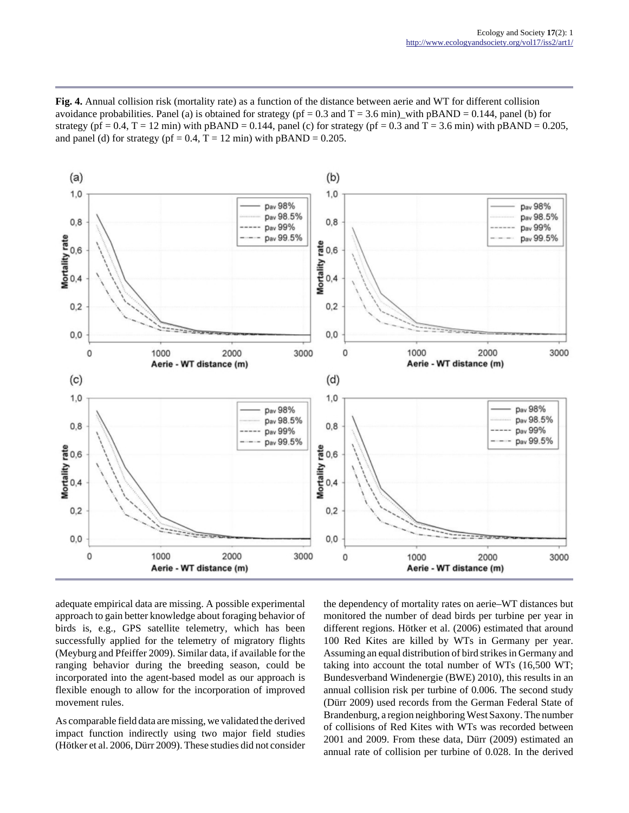**Fig. 4.** Annual collision risk (mortality rate) as a function of the distance between aerie and WT for different collision avoidance probabilities. Panel (a) is obtained for strategy ( $pf = 0.3$  and  $T = 3.6$  min) with pBAND = 0.144, panel (b) for strategy (pf =  $0.4$ , T = 12 min) with pBAND = 0.144, panel (c) for strategy (pf =  $0.3$  and T =  $3.6$  min) with pBAND = 0.205, and panel (d) for strategy (pf =  $0.4$ , T = 12 min) with pBAND =  $0.205$ .



adequate empirical data are missing. A possible experimental approach to gain better knowledge about foraging behavior of birds is, e.g., GPS satellite telemetry, which has been successfully applied for the telemetry of migratory flights (Meyburg and Pfeiffer 2009). Similar data, if available for the ranging behavior during the breeding season, could be incorporated into the agent-based model as our approach is flexible enough to allow for the incorporation of improved movement rules.

As comparable field data are missing, we validated the derived impact function indirectly using two major field studies (Hötker et al. 2006, Dürr 2009). These studies did not consider the dependency of mortality rates on aerie–WT distances but monitored the number of dead birds per turbine per year in different regions. Hötker et al. (2006) estimated that around 100 Red Kites are killed by WTs in Germany per year. Assuming an equal distribution of bird strikes in Germany and taking into account the total number of WTs (16,500 WT; Bundesverband Windenergie (BWE) 2010), this results in an annual collision risk per turbine of 0.006. The second study (Dürr 2009) used records from the German Federal State of Brandenburg, a region neighboring West Saxony. The number of collisions of Red Kites with WTs was recorded between 2001 and 2009. From these data, Dürr (2009) estimated an annual rate of collision per turbine of 0.028. In the derived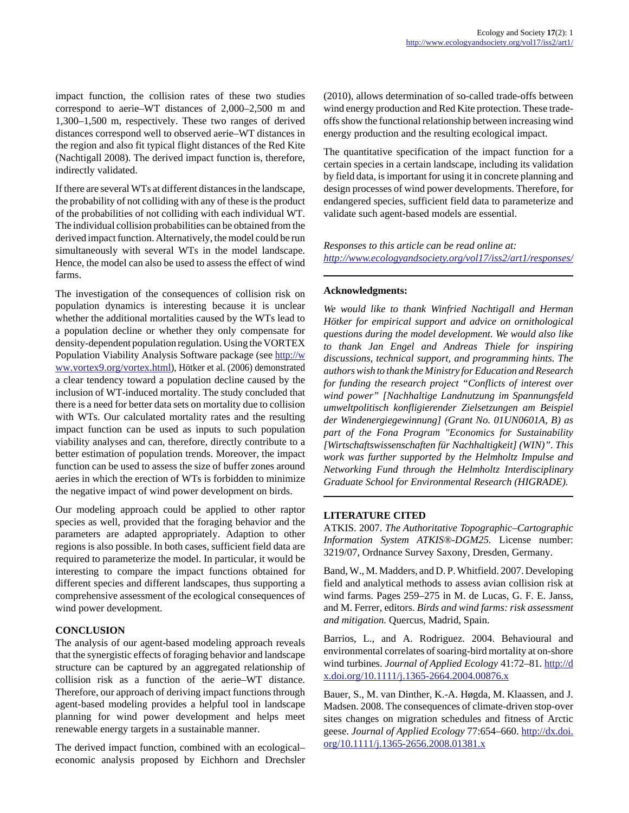impact function, the collision rates of these two studies correspond to aerie–WT distances of 2,000–2,500 m and 1,300–1,500 m, respectively. These two ranges of derived distances correspond well to observed aerie–WT distances in the region and also fit typical flight distances of the Red Kite (Nachtigall 2008). The derived impact function is, therefore, indirectly validated.

If there are several WTs at different distances in the landscape, the probability of not colliding with any of these is the product of the probabilities of not colliding with each individual WT. The individual collision probabilities can be obtained from the derived impact function. Alternatively, the model could be run simultaneously with several WTs in the model landscape. Hence, the model can also be used to assess the effect of wind farms.

The investigation of the consequences of collision risk on population dynamics is interesting because it is unclear whether the additional mortalities caused by the WTs lead to a population decline or whether they only compensate for density-dependent population regulation. Using the VORTEX Population Viability Analysis Software package (see [http://w](http://www.vortex9.org/vortex.html) [ww.vortex9.org/vortex.html](http://www.vortex9.org/vortex.html)), Hötker et al. (2006) demonstrated a clear tendency toward a population decline caused by the inclusion of WT-induced mortality. The study concluded that there is a need for better data sets on mortality due to collision with WTs. Our calculated mortality rates and the resulting impact function can be used as inputs to such population viability analyses and can, therefore, directly contribute to a better estimation of population trends. Moreover, the impact function can be used to assess the size of buffer zones around aeries in which the erection of WTs is forbidden to minimize the negative impact of wind power development on birds.

Our modeling approach could be applied to other raptor species as well, provided that the foraging behavior and the parameters are adapted appropriately. Adaption to other regions is also possible. In both cases, sufficient field data are required to parameterize the model. In particular, it would be interesting to compare the impact functions obtained for different species and different landscapes, thus supporting a comprehensive assessment of the ecological consequences of wind power development.

# **CONCLUSION**

The analysis of our agent-based modeling approach reveals that the synergistic effects of foraging behavior and landscape structure can be captured by an aggregated relationship of collision risk as a function of the aerie–WT distance. Therefore, our approach of deriving impact functions through agent-based modeling provides a helpful tool in landscape planning for wind power development and helps meet renewable energy targets in a sustainable manner.

The derived impact function, combined with an ecological– economic analysis proposed by Eichhorn and Drechsler (2010), allows determination of so-called trade-offs between wind energy production and Red Kite protection. These tradeoffs show the functional relationship between increasing wind energy production and the resulting ecological impact.

The quantitative specification of the impact function for a certain species in a certain landscape, including its validation by field data, is important for using it in concrete planning and design processes of wind power developments. Therefore, for endangered species, sufficient field data to parameterize and validate such agent-based models are essential.

*Responses to this article can be read online at: <http://www.ecologyandsociety.org/vol17/iss2/art1/responses/>*

### **Acknowledgments:**

*We would like to thank Winfried Nachtigall and Herman Hötker for empirical support and advice on ornithological questions during the model development. We would also like to thank Jan Engel and Andreas Thiele for inspiring discussions, technical support, and programming hints. The authors wish to thank the Ministry for Education and Research for funding the research project "Conflicts of interest over wind power" [Nachhaltige Landnutzung im Spannungsfeld umweltpolitisch konfligierender Zielsetzungen am Beispiel der Windenergiegewinnung] (Grant No. 01UN0601A, B) as part of the Fona Program "Economics for Sustainability [Wirtschaftswissenschaften für Nachhaltigkeit] (WIN)". This work was further supported by the Helmholtz Impulse and Networking Fund through the Helmholtz Interdisciplinary Graduate School for Environmental Research (HIGRADE).*

### **LITERATURE CITED**

ATKIS. 2007. *The Authoritative Topographic–Cartographic Information System ATKIS®-DGM25.* License number: 3219/07, Ordnance Survey Saxony, Dresden, Germany.

Band, W., M. Madders, and D. P. Whitfield. 2007. Developing field and analytical methods to assess avian collision risk at wind farms. Pages 259–275 in M. de Lucas, G. F. E. Janss, and M. Ferrer, editors. *Birds and wind farms: risk assessment and mitigation.* Quercus, Madrid, Spain.

Barrios, L., and A. Rodriguez. 2004. Behavioural and environmental correlates of soaring-bird mortality at on-shore wind turbines. *Journal of Applied Ecology* 41:72–81. [http://d](http://dx.doi.org/10.1111/j.1365-2664.2004.00876.x) [x.doi.org/10.1111/j.1365-2664.2004.00876.x](http://dx.doi.org/10.1111/j.1365-2664.2004.00876.x)

Bauer, S., M. van Dinther, K.-A. Høgda, M. Klaassen, and J. Madsen. 2008. The consequences of climate-driven stop-over sites changes on migration schedules and fitness of Arctic geese. *Journal of Applied Ecology* 77:654–660. [http://dx.doi.](http://dx.doi.org/10.1111/j.1365-2656.2008.01381.x) [org/10.1111/j.1365-2656.2008.01381.x](http://dx.doi.org/10.1111/j.1365-2656.2008.01381.x)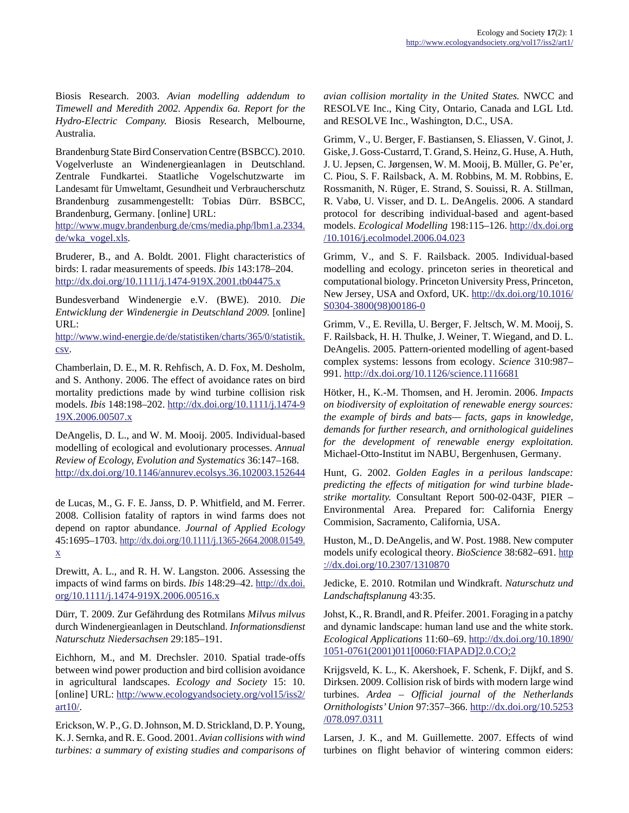Biosis Research. 2003. *Avian modelling addendum to Timewell and Meredith 2002. Appendix 6a. Report for the Hydro-Electric Company.* Biosis Research, Melbourne, Australia.

Brandenburg State Bird Conservation Centre (BSBCC). 2010. Vogelverluste an Windenergieanlagen in Deutschland. Zentrale Fundkartei. Staatliche Vogelschutzwarte im Landesamt für Umweltamt, Gesundheit und Verbraucherschutz Brandenburg zusammengestellt: Tobias Dürr. BSBCC, Brandenburg, Germany. [online] URL:

[http://www.mugv.brandenburg.de/cms/media.php/lbm1.a.2334.](http://www.mugv.brandenburg.de/cms/media.php/lbm1.a.2334.de/wka_vogel.xls) [de/wka\\_vogel.xls](http://www.mugv.brandenburg.de/cms/media.php/lbm1.a.2334.de/wka_vogel.xls).

Bruderer, B., and A. Boldt. 2001. Flight characteristics of birds: I. radar measurements of speeds. *Ibis* 143:178–204. <http://dx.doi.org/10.1111/j.1474-919X.2001.tb04475.x>

Bundesverband Windenergie e.V. (BWE). 2010. *Die Entwicklung der Windenergie in Deutschland 2009.* [online] URL:

[http://www.wind-energie.de/de/statistiken/charts/365/0/statistik.](http://www.wind-energie.de/de/statistiken/charts/365/0/statistik.csv) [csv](http://www.wind-energie.de/de/statistiken/charts/365/0/statistik.csv).

Chamberlain, D. E., M. R. Rehfisch, A. D. Fox, M. Desholm, and S. Anthony. 2006. The effect of avoidance rates on bird mortality predictions made by wind turbine collision risk models. *Ibis* 148:198–202. [http://dx.doi.org/10.1111/j.1474-9](http://dx.doi.org/10.1111/j.1474-919X.2006.00507.x) [19X.2006.00507.x](http://dx.doi.org/10.1111/j.1474-919X.2006.00507.x)

DeAngelis, D. L., and W. M. Mooij. 2005. Individual-based modelling of ecological and evolutionary processes. *Annual Review of Ecology, Evolution and Systematics* 36:147–168. <http://dx.doi.org/10.1146/annurev.ecolsys.36.102003.152644>

de Lucas, M., G. F. E. Janss, D. P. Whitfield, and M. Ferrer. 2008. Collision fatality of raptors in wind farms does not depend on raptor abundance. *Journal of Applied Ecology* 45:1695–1703. [http://dx.doi.org/10.1111/j.1365-2664.2008.01549.](http://dx.doi.org/10.1111/j.1365-2664.2008.01549.x) [x](http://dx.doi.org/10.1111/j.1365-2664.2008.01549.x)

Drewitt, A. L., and R. H. W. Langston. 2006. Assessing the impacts of wind farms on birds. *Ibis* 148:29–42. [http://dx.doi.](http://dx.doi.org/10.1111/j.1474-919X.2006.00516.x) [org/10.1111/j.1474-919X.2006.00516.x](http://dx.doi.org/10.1111/j.1474-919X.2006.00516.x)

Dürr, T. 2009. Zur Gefährdung des Rotmilans *Milvus milvus* durch Windenergieanlagen in Deutschland. *Informationsdienst Naturschutz Niedersachsen* 29:185–191.

Eichhorn, M., and M. Drechsler. 2010. Spatial trade-offs between wind power production and bird collision avoidance in agricultural landscapes. *Ecology and Society* 15: 10. [online] URL: [http://www.ecologyandsociety.org/vol15/iss2/](http://www.ecologyandsociety.org/vol15/iss2/art10/) [art10/](http://www.ecologyandsociety.org/vol15/iss2/art10/).

Erickson, W. P., G. D. Johnson, M. D. Strickland, D. P. Young, K. J. Sernka, and R. E. Good. 2001. *Avian collisions with wind turbines: a summary of existing studies and comparisons of* *avian collision mortality in the United States.* NWCC and RESOLVE Inc., King City, Ontario, Canada and LGL Ltd. and RESOLVE Inc., Washington, D.C., USA.

Grimm, V., U. Berger, F. Bastiansen, S. Eliassen, V. Ginot, J. Giske, J. Goss-Custarrd, T. Grand, S. Heinz, G. Huse, A. Huth, J. U. Jepsen, C. Jørgensen, W. M. Mooij, B. Müller, G. Pe'er, C. Piou, S. F. Railsback, A. M. Robbins, M. M. Robbins, E. Rossmanith, N. Rüger, E. Strand, S. Souissi, R. A. Stillman, R. Vabø, U. Visser, and D. L. DeAngelis. 2006. A standard protocol for describing individual-based and agent-based models. *Ecological Modelling* 198:115–126. [http://dx.doi.org](http://dx.doi.org/10.1016/j.ecolmodel.2006.04.023) [/10.1016/j.ecolmodel.2006.04.023](http://dx.doi.org/10.1016/j.ecolmodel.2006.04.023)

Grimm, V., and S. F. Railsback. 2005. Individual-based modelling and ecology. princeton series in theoretical and computational biology. Princeton University Press, Princeton, New Jersey, USA and Oxford, UK. [http://dx.doi.org/10.1016/](http://dx.doi.org/10.1016/S0304-3800(98)00186-0) [S0304-3800\(98\)00186-0](http://dx.doi.org/10.1016/S0304-3800(98)00186-0)

Grimm, V., E. Revilla, U. Berger, F. Jeltsch, W. M. Mooij, S. F. Railsback, H. H. Thulke, J. Weiner, T. Wiegand, and D. L. DeAngelis. 2005. Pattern-oriented modelling of agent-based complex systems: lessons from ecology. *Science* 310:987– 991. <http://dx.doi.org/10.1126/science.1116681>

Hötker, H., K.-M. Thomsen, and H. Jeromin. 2006. *Impacts on biodiversity of exploitation of renewable energy sources: the example of birds and bats— facts, gaps in knowledge, demands for further research, and ornithological guidelines for the development of renewable energy exploitation.* Michael-Otto-Institut im NABU, Bergenhusen, Germany.

Hunt, G. 2002. *Golden Eagles in a perilous landscape: predicting the effects of mitigation for wind turbine bladestrike mortality.* Consultant Report 500-02-043F, PIER – Environmental Area. Prepared for: California Energy Commision, Sacramento, California, USA.

Huston, M., D. DeAngelis, and W. Post. 1988. New computer models unify ecological theory. *BioScience* 38:682–691. [http](http://dx.doi.org/10.2307/1310870) [://dx.doi.org/10.2307/1310870](http://dx.doi.org/10.2307/1310870)

Jedicke, E. 2010. Rotmilan und Windkraft. *Naturschutz und Landschaftsplanung* 43:35.

Johst, K., R. Brandl, and R. Pfeifer. 2001. Foraging in a patchy and dynamic landscape: human land use and the white stork. *Ecological Applications* 11:60–69. [http://dx.doi.org/10.1890/](http://dx.doi.org/10.1890/1051-0761(2001)011[0060:FIAPAD]2.0.CO;2) [1051-0761\(2001\)011\[0060:FIAPAD\]2.0.CO;2](http://dx.doi.org/10.1890/1051-0761(2001)011[0060:FIAPAD]2.0.CO;2)

Krijgsveld, K. L., K. Akershoek, F. Schenk, F. Dijkf, and S. Dirksen. 2009. Collision risk of birds with modern large wind turbines. *Ardea – Official journal of the Netherlands Ornithologists' Union* 97:357–366. [http://dx.doi.org/10.5253](http://dx.doi.org/10.5253/078.097.0311) [/078.097.0311](http://dx.doi.org/10.5253/078.097.0311)

Larsen, J. K., and M. Guillemette. 2007. Effects of wind turbines on flight behavior of wintering common eiders: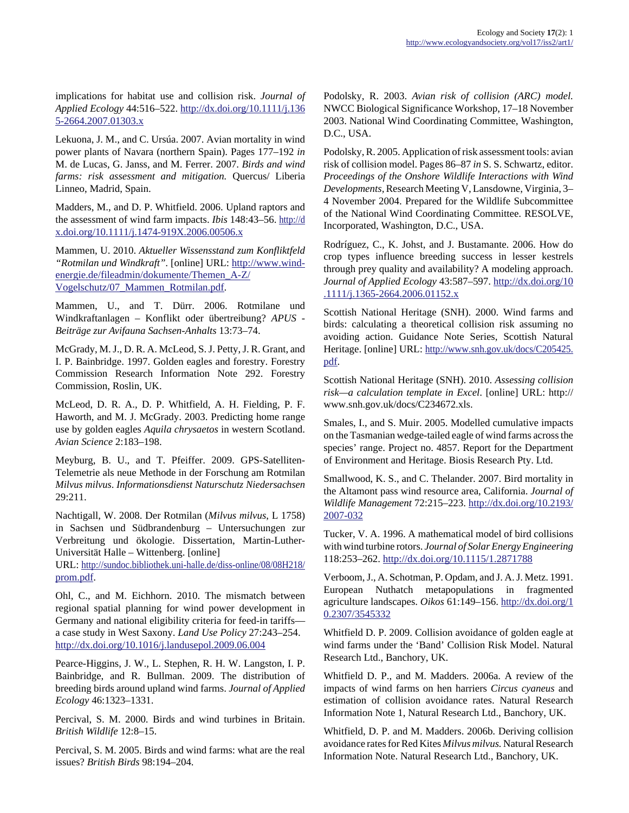implications for habitat use and collision risk. *Journal of Applied Ecology* 44:516–522. [http://dx.doi.org/10.1111/j.136](http://dx.doi.org/10.1111/j.1365-2664.2007.01303.x) [5-2664.2007.01303.x](http://dx.doi.org/10.1111/j.1365-2664.2007.01303.x)

Lekuona, J. M., and C. Ursúa. 2007. Avian mortality in wind power plants of Navara (northern Spain). Pages 177–192 *in* M. de Lucas, G. Janss, and M. Ferrer. 2007. *Birds and wind farms: risk assessment and mitigation.* Quercus/ Liberia Linneo, Madrid, Spain.

Madders, M., and D. P. Whitfield. 2006. Upland raptors and the assessment of wind farm impacts. *Ibis* 148:43–56. [http://d](http://dx.doi.org/10.1111/j.1474-919X.2006.00506.x) [x.doi.org/10.1111/j.1474-919X.2006.00506.x](http://dx.doi.org/10.1111/j.1474-919X.2006.00506.x)

Mammen, U. 2010. *Aktueller Wissensstand zum Konfliktfeld "Rotmilan und Windkraft".* [online] URL: [http://www.wind](http://www.wind-energie.de/fileadmin/dokumente/Themen_A-Z/Vogelschutz/07_Mammen_Rotmilan.pdf)energie.de/fileadmin/dokumente/Themen\_A-Z/ [Vogelschutz/07\\_Mammen\\_Rotmilan.pdf](http://www.wind-energie.de/fileadmin/dokumente/Themen_A-Z/Vogelschutz/07_Mammen_Rotmilan.pdf).

Mammen, U., and T. Dürr. 2006. Rotmilane und Windkraftanlagen – Konflikt oder übertreibung? *APUS - Beiträge zur Avifauna Sachsen-Anhalts* 13:73–74.

McGrady, M. J., D. R. A. McLeod, S. J. Petty, J. R. Grant, and I. P. Bainbridge. 1997. Golden eagles and forestry. Forestry Commission Research Information Note 292. Forestry Commission, Roslin, UK.

McLeod, D. R. A., D. P. Whitfield, A. H. Fielding, P. F. Haworth, and M. J. McGrady. 2003. Predicting home range use by golden eagles *Aquila chrysaetos* in western Scotland. *Avian Science* 2:183–198.

Meyburg, B. U., and T. Pfeiffer. 2009. GPS-Satelliten-Telemetrie als neue Methode in der Forschung am Rotmilan *Milvus milvus*. *Informationsdienst Naturschutz Niedersachsen* 29:211.

Nachtigall, W. 2008. Der Rotmilan (*Milvus milvus*, L 1758) in Sachsen und Südbrandenburg – Untersuchungen zur Verbreitung und ökologie. Dissertation, Martin-Luther-Universität Halle – Wittenberg. [online]

URL: [http://sundoc.bibliothek.uni-halle.de/diss-online/08/08H218/](http://sundoc.bibliothek.uni-halle.de/diss-online/08/08H218/prom.pdf) [prom.pdf.](http://sundoc.bibliothek.uni-halle.de/diss-online/08/08H218/prom.pdf)

Ohl, C., and M. Eichhorn. 2010. The mismatch between regional spatial planning for wind power development in Germany and national eligibility criteria for feed-in tariffs a case study in West Saxony. *Land Use Policy* 27:243–254. <http://dx.doi.org/10.1016/j.landusepol.2009.06.004>

Pearce-Higgins, J. W., L. Stephen, R. H. W. Langston, I. P. Bainbridge, and R. Bullman. 2009. The distribution of breeding birds around upland wind farms. *Journal of Applied Ecology* 46:1323–1331.

Percival, S. M. 2000. Birds and wind turbines in Britain. *British Wildlife* 12:8–15.

Percival, S. M. 2005. Birds and wind farms: what are the real issues? *British Birds* 98:194–204.

Podolsky, R. 2003. *Avian risk of collision (ARC) model.* NWCC Biological Significance Workshop, 17–18 November 2003. National Wind Coordinating Committee, Washington, D.C., USA.

Podolsky, R. 2005. Application of risk assessment tools: avian risk of collision model. Pages 86–87 *in* S. S. Schwartz, editor. *Proceedings of the Onshore Wildlife Interactions with Wind Developments,* Research Meeting V, Lansdowne, Virginia, 3– 4 November 2004. Prepared for the Wildlife Subcommittee of the National Wind Coordinating Committee. RESOLVE, Incorporated, Washington, D.C., USA.

Rodríguez, C., K. Johst, and J. Bustamante. 2006. How do crop types influence breeding success in lesser kestrels through prey quality and availability? A modeling approach. *Journal of Applied Ecology* 43:587–597. [http://dx.doi.org/10](http://dx.doi.org/10.1111/j.1365-2664.2006.01152.x) [.1111/j.1365-2664.2006.01152.x](http://dx.doi.org/10.1111/j.1365-2664.2006.01152.x)

Scottish National Heritage (SNH). 2000. Wind farms and birds: calculating a theoretical collision risk assuming no avoiding action. Guidance Note Series, Scottish Natural Heritage. [online] URL: [http://www.snh.gov.uk/docs/C205425.](http://www.snh.gov.uk/docs/C205425.pdf) [pdf](http://www.snh.gov.uk/docs/C205425.pdf).

Scottish National Heritage (SNH). 2010. *Assessing collision risk—a calculation template in Excel*. [online] URL: http:// www.snh.gov.uk/docs/C234672.xls.

Smales, I., and S. Muir. 2005. Modelled cumulative impacts on the Tasmanian wedge-tailed eagle of wind farms across the species' range. Project no. 4857. Report for the Department of Environment and Heritage. Biosis Research Pty. Ltd.

Smallwood, K. S., and C. Thelander. 2007. Bird mortality in the Altamont pass wind resource area, California. *Journal of Wildlife Management* 72:215–223. [http://dx.doi.org/10.2193/](http://dx.doi.org/10.2193/2007-032) [2007-032](http://dx.doi.org/10.2193/2007-032)

Tucker, V. A. 1996. A mathematical model of bird collisions with wind turbine rotors. *Journal of Solar Energy Engineering* 118:253–262. <http://dx.doi.org/10.1115/1.2871788>

Verboom, J., A. Schotman, P. Opdam, and J. A. J. Metz. 1991. European Nuthatch metapopulations in fragmented agriculture landscapes. *Oikos* 61:149–156. [http://dx.doi.org/1](http://dx.doi.org/10.2307/3545332) [0.2307/3545332](http://dx.doi.org/10.2307/3545332)

Whitfield D. P. 2009. Collision avoidance of golden eagle at wind farms under the 'Band' Collision Risk Model. Natural Research Ltd., Banchory, UK.

Whitfield D. P., and M. Madders. 2006a. A review of the impacts of wind farms on hen harriers *Circus cyaneus* and estimation of collision avoidance rates. Natural Research Information Note 1, Natural Research Ltd., Banchory, UK.

Whitfield, D. P. and M. Madders. 2006b. Deriving collision avoidance rates for Red Kites *Milvus milvus.* Natural Research Information Note. Natural Research Ltd., Banchory, UK.